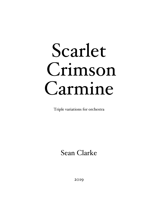# Scarlet Crimson Carmine

Triple variations for orchestra

## Sean Clarke

2019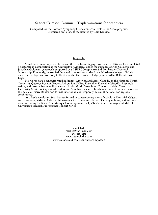### Scarlet Crimson Carmine – Triple variations for orchestra

Composed for the Toronto Symphony Orchestra, 2019 Explore the Score program. Premiered on 12 Jan. 2019, directed by Gary Kulesha.

#### **Biography**

Sean Clarke is a composer, flutist and theorist from Calgary, now based in Ottawa. He completed a doctorate in composition at the University of Montréal under the guidance of Ana Sokolovic and Jonathan Goldman, generously supported by a SSHRC Joseph-Armand Bombardier Doctoral under Peter Lloyd and Anthony Gilbert, and the University of Calgary under Allan Bell and David

Eagle.<br>His works have been performed in France, America, and across Canada, by the National Youth Orchestra, Quatuor Bozzini, Robert Aitken, Land's End Ensemble, Ensemble Mise-En, Ensemble Arkea, and Project Iso, as well as featured in the World Saxophone Congress and the Canadian University Music Society annual conference. Sean has presented his theory research, which focuses on the music of Pierre Boulez and formal function in contemporary music, at national and regional conferences.<br>As a freelance flutist, Sean has performed in contemporary music festivals in Montréal, Calgary

and Saskatoon, with the Calgary Philharmonic Orchestra and the Red Deer Symphony, and in concert series including the Société de Musique Contemporaine de Québec's Série Hommage and McGill University's Schulich Professional Concert Series.

> Sean Clarke clarkesc@hotmail.com 438-826-2552 www.sean-clarke.com www.soundcloud.com/seanclarkecomposer-1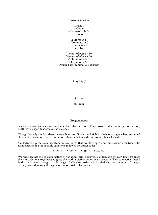Instrumentation

2 Flutes 2 Oboes 2 Clarinets in B-flat 2 Bassoons

4 Horns in F 3 Trumpets in C 3 Trombones 1 Tuba

Violin 1 (*divisi*: a & b) Violin 2 (*divisi*: a & b) Viola (*divisi*: a & b) Cello (*divisi*: a & b) Double bass (minimal use of *divisi*)

*Score is in C*

#### Duration

ca. 5 min.

#### Program notes

Scarlet, crimson and carmine are three deep shades of red. They evoke conflicting images of passion, death, love, anger, tenderness, and violence.

Though broadly similar, these intense hues are distinct and rich in their own right when examined closely. Furthermore, there is room for subtle variation and contrast within each shade.

Similarly, this piece examines three musical ideas that are developed and transformed over time. The form consists of a set of triple variations followed by a brief coda:

 $A^I B^I C^I - A^2 B^2 C^2 - A^3 B^3 C^3 - \text{Coda} (B^4)$ 

Working against the episodic nature of variation form, however, is a dramatic through-line that fuses the short sections together and gives the work a distinct emotional trajectory. This connective thread leads the listener through a wide range of affective territory in a relatively short amount of time; a densely packed journey through a vermilion-soaked landscape.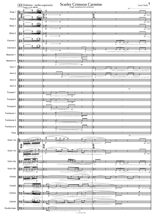|             | Delirium - molto espressivo<br>Largo = ca. 40-44<br>$ {\bf A1} $ | Scarlet Crimson Carmine        |                                   | $rit. -- -- --$      | Sean Clarke<br>$- - - -$       |
|-------------|------------------------------------------------------------------|--------------------------------|-----------------------------------|----------------------|--------------------------------|
| Flute 1     | hē.<br>2                                                         | $-\,pp$                        |                                   |                      |                                |
| Flute 2     | $\frac{4f}{4}$<br>8                                              |                                | $\frac{5}{4}$                     |                      | mр                             |
| Oboe 1      | $f\hspace{-0.1cm}f$<br>⊕                                         | $=$ $pp$                       | $\mathbf{v}$                      |                      | mр                             |
| Oboe 2      | ff<br>∶ ‼≏ ।                                                     | $=$ $pp$                       | $\frac{5}{4}$                     |                      | mp                             |
|             | ff<br>은 社                                                        | $\equiv$ $pp$                  |                                   |                      | mр                             |
| Clarinet 1  | 6 š<br>ff<br>∸⊯ -                                                | $=$ pp                         | $\frac{5}{4}$ –                   |                      |                                |
| Clarinet 2  | $\hat{\bm{f}}$                                                   | $=$ pp                         | ÷                                 |                      |                                |
| Bassoon 1   | $2\frac{2}{8}$                                                   | f<br>pp                        | $\frac{1}{2}$                     |                      |                                |
| Bassoon 2   | $7\frac{2}{8}$ }<br>⇉                                            |                                | $\equiv$                          |                      |                                |
| Horn 1      | $6\frac{2}{3}$ }                                                 | $\boldsymbol{f}$<br>$-$ pp     | $\frac{5}{4}$                     |                      |                                |
| Horn 2      | 637<br>$\frac{4}{4}$                                             |                                | 曇                                 |                      |                                |
| Horn 3      | 63?                                                              | $\boldsymbol{pp}$              | $\boldsymbol{p}$<br>$\frac{5}{4}$ |                      |                                |
| Horn 4      | 63?                                                              |                                | $\frac{5}{4}$                     | $rit. - - - - - - -$ |                                |
| Trumpet 1   | $\frac{1}{9}$                                                    |                                |                                   |                      |                                |
| Trumpet 2   | 63?                                                              | $\boldsymbol{p}$               |                                   |                      |                                |
| Trumpet 3   | $\frac{2}{6}$                                                    | p p                            | $\frac{1}{2}$                     |                      |                                |
| Trombone 1  | $2\frac{2}{8}$ }<br>₹                                            | $\boldsymbol{p}$               | $\mathbb{R}$                      |                      |                                |
| Trombone 2  | 23.3                                                             | $\bar{p}\bar{p}$               |                                   |                      |                                |
|             |                                                                  | $\boldsymbol{p}\boldsymbol{p}$ |                                   |                      |                                |
| Trombone 3  | 2.3                                                              | $\boldsymbol{pp}$              |                                   |                      |                                |
| Tuba        | 237                                                              |                                | P,                                | $rit. \--$           |                                |
| Violin 1/a  | ff                                                               |                                | $\boldsymbol{p}$                  |                      | $\boldsymbol{m}\boldsymbol{p}$ |
| Violin 1/b  | $\frac{2}{8}$<br>$\frac{4}{4}$                                   |                                | $\frac{5}{4}$                     |                      |                                |
|             | $f\hspace{-0.1cm}f\hspace{-0.1cm}f$                              |                                | $\boldsymbol{p}$                  |                      | $\boldsymbol{m}\boldsymbol{p}$ |
| Violin 2/a  | $_{-3-}$                                                         |                                |                                   |                      |                                |
| Violin 2/b  |                                                                  |                                | $\pmb{p}$<br>$\frac{5}{4}$        |                      |                                |
|             | ĴĴ                                                               |                                | $\boldsymbol{p}$                  |                      |                                |
| Viola/a     | f<br>ff                                                          |                                | $\boldsymbol{p}$                  |                      |                                |
| Viola/b     |                                                                  |                                | $\frac{5}{4}$                     |                      |                                |
| Cello/a     |                                                                  |                                |                                   | $\boldsymbol{p}$     |                                |
|             |                                                                  | ff                             |                                   | p                    | mp                             |
| Cello/b     |                                                                  |                                | $\frac{5}{4}$                     |                      |                                |
| Double bass |                                                                  | ff<br>$\pmb{p}$                | $\frac{5}{2}$                     |                      |                                |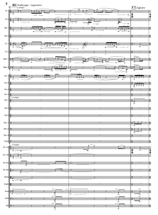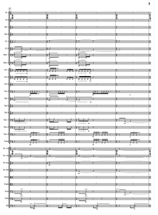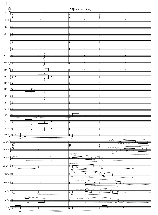